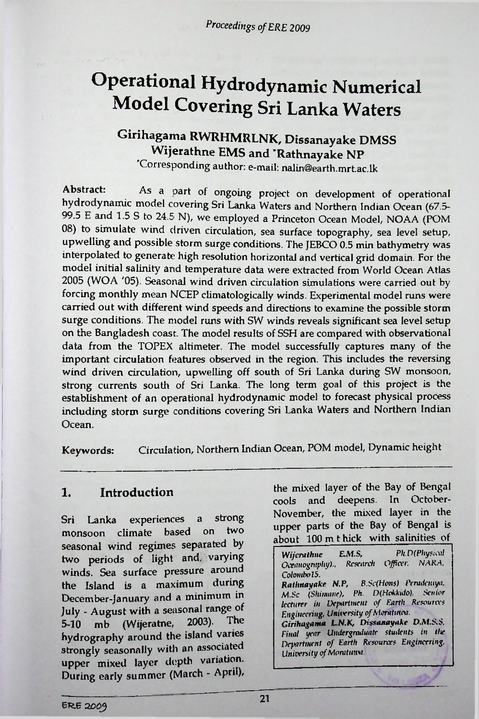*Proceedings ofERE 2009*

# Operational Hydrodynamic Numerical Model Covering Sri Lanka Waters

# **Girihagama RWRHMRLNK, Dissanayake DMSS Wijerathne EMS and 'Rathnayake NP**

Corresponding author: e-mail: [nalin@earth.mrt.ac.lk](mailto:nalin@earth.mrt.ac.lk)

As a part of ongoing project on development of operational hydrodynamic model covering Sri Lanka Waters and Northern Indian Ocean (67.5- 99.5 E and 1.5 S to 24.5 N), we employed a Princeton Ocean Model, NOAA (POM 08) to simulate wind driven circulation, sea surface topography, sea level setup, upwelling and possible storm surge conditions. The JEBCO 0.5 min bathymetry was interpolated to generate high resolution horizontal and vertical grid domain. For the model initial salinity and temperature data were extracted from World Ocean Atlas 2005 (WOA '05). Seasonal wind driven circulation simulations were carried out by forcing monthly mean NCEP climatologically winds. Experimental model runs were carried out with different wind speeds and directions to examine the possible storm surge conditions. The model runs with SW winds reveals significant sea level setup on the Bangladesh coast. The model results of SSH are compared with observational data from the TOPEX altimeter. The model successfully captures many of the important circulation features observed in the region. This includes the reversing wind driven circulation, upwelling off south of Sri Lanka during SW monsoon, strong currents south of Sri Lanka. The long term goal of this project is the establishment of an operational hydrodynamic model to forecast physical process including storm surge conditions covering Sri Lanka Waters and Northern Indian Ocean. Abstract:

Keywords: Circulation, Northern Indian Ocean, POM model, Dynamic height

#### 1. Introduction

Sri Lanka experiences a strong monsoon climate based on seasonal wind regimes separated by two periods of light and. varying winds. Sea surface pressure around the Island is a maximum during December-January and a minimum in July - August with a seasonal range of 5-10 mb (Wijeratne, 2003). The hydrography around the island varies strongly seasonally with an associated upper mixed layer **depth** variation. During early summer (March - April), two

the mixed layer of the Bay of Bengal cools and deepens. In October-November, the mixed layer in the upper parts of the Bay of Bengal is about 100 m t hick with salinities of

*Wijerathne* EM.S, *Ph.D(Physical Oceanography)., Research Officer. NARA. ColombotS. Rathnayake N.P, B.Sc(Hons) Perademya. M.Sc (Shimane), Ph. D(Hokkido), Senior lecturer in Department of Earth Resources Engineering, University of Monturea. Girihagama L.N.K, Dissanayake D.M.S.S. Final year Undergraduate students in the Department of Earth Resources Engineering. University of*Momtumt.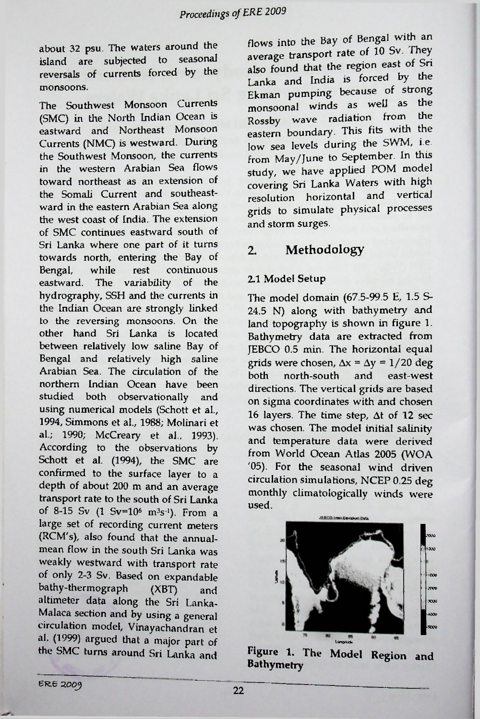about 32 psu. The waters around the<br>island are subjected to seasonal island are subjected to reversals of currents forced by the monsoons.

The Southwest Monsoon Currents (SMC) in the North Indian Ocean is eastward and Northeast Monsoon Currents (NMC) is westward. During the Southwest Monsoon, the currents in the western Arabian Sea flows toward northeast as an extension of the Somali Current and southeastward in the eastern Arabian Sea along the west coast of India. The extension of SMC continues eastward south of Sri Lanka where one part of it turns towards north, entering the Bay of Bengal, eastward. The variability of the hydrography, SSH and the currents in the Indian Ocean are strongly linked to the reversing monsoons. On the other hand Sri Lanka is located between relatively low saline Bay of Bengal and relatively high saline Arabian Sea. The circulation of the northern Indian Ocean have been studied both observationally and using numerical models (Schott et al., 1994, Simmons et al., 1988; **Molinari** et **al.;** 1990; McCreary et al., 1993). According to the observations by Schott et al. (1994), the SMC are confirmed to the surface layer to a depth of about 200 m and an average transport rate to the south of Sri Lanka of 8-15 Sv (1 Sv=106 m3s-1). From a large set of recording current meters (RCM's), also found that the annualmean flow in the south Sri Lanka weakly westward with transport rate of only 2-3 Sv. Based on expandable bathy-thermograph altimeter data along the Sri Lanka-Malaca section and by using a general circulation model, **Vinayachandran** et al. (1999) argued that a **major** part of the SMC turns around Sri Lanka and while rest continuous

flows into the Bay of Bengal with an notic transport rate of 10 Sv. They also found that the region east of Sri also found that the region east of STT.<br>Lanka and India is forced by the Ekman pumping because of strong monsoonal winds as well as the Lanka Rossby wave radiation from the eastern boundary. This fits with the low sea levels during the SWM, i.e from May/June to September. In this study, we have applied POM model covering Sri Lanka Waters with high resolution horizontal and vertical grids to simulate physical processes and storm surges.

### 2. Methodology

#### 2.1 Model Setup

The model domain (67.5-99.5 E, 1.5 S-24.5 N) along with bathymetry and land topography is shown in figure 1. Bathymetry data are extracted from JEBCO 0.5 min. The horizontal equal grids were chosen,  $\Delta x = \Delta y = 1/20$  deg both north-south and east-west directions. The vertical grids are based on sigma coordinates with and chosen 16 layers. The time step, At of 12 sec was chosen. The model initial salinity and temperature data were derived from World Ocean Atlas 2005 (WOA 705). For the seasonal wind driven circulation simulations, NCEP 0.25 deg monthly climatologically winds were used.



**Figure 1. The Model Region and Bathymetry**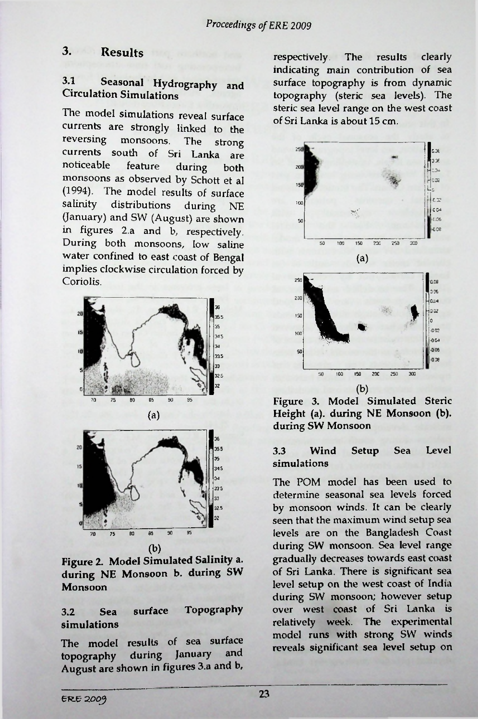### 3.1 Seasonal Hydrography and Circulation Simulations

The model simulations reveal surface currents are strongly linked to the<br>reversing monsoons. The strong monsoons. The strong currents south of Sri Lanka are<br>noticeable feature during both noticeable monsoons as observed by Schott et al (1994). The model results of surface<br>salinity distributions during  $NF$ distributions during NE (January) and SW (August) are shown in figures 2.a and b, respectively. During both monsoons, low saline water confined to east coast of Bengal implies clockwise circulation forced by **Coriolis** 





#### 3.2 Sea surface Topography simulations

The model results of sea surface topography during January August are shown in figures 3.a and b,

3. Results respectively The results clearly indicating main contribution of sea surface topography is from dynamic topography (steric sea levels). The steric sea level range on the west coast of Sri Lanka is about 15 cm.



Figure 3. Model Simulated Steric Height (a), during NE Monsoon (b). during SW Monsoon

## I<sup>36</sup> <sup>35</sup> 3.3 Wind Setup Sea Level simulations

The POM model has been used to determine seasonal sea levels forced by monsoon winds. It can be clearly seen that the maximum wind setup sea levels are on the Bangladesh Coast during SW monsoon. Sea level range gradually decreases towards east coast of Sri Lanka. There is significant sea level setup on the west coast of India during SW monsoon; however setup over west coast of Sri Lanka is relatively week. The experimental model runs with strong SW winds reveals significant sea level setup on